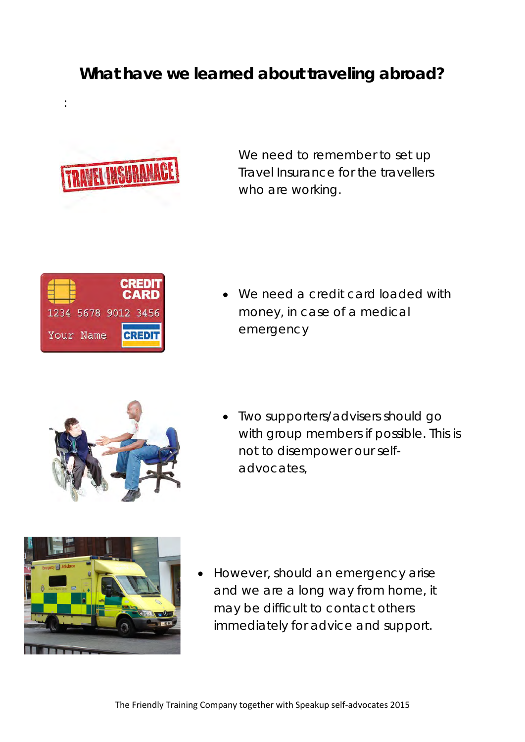## **What have we learned about traveling abroad?**



:

We need to remember to set up Travel Insurance for the travellers who are working.



• We need a credit card loaded with money, in case of a medical emergency



• Two supporters/advisers should go with group members if possible. This is not to disempower our selfadvocates,



• However, should an emergency arise and we are a long way from home, it may be difficult to contact others immediately for advice and support.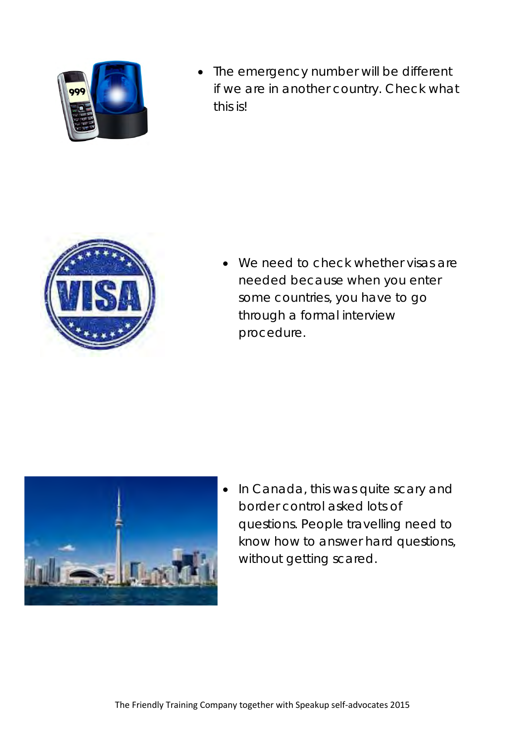

• The emergency number will be different if we are in another country. Check what this is!



We need to check whether visas are needed because when you enter some countries, you have to go through a formal interview procedure.



• In Canada, this was quite scary and border control asked lots of questions. People travelling need to know how to answer hard questions, without getting scared.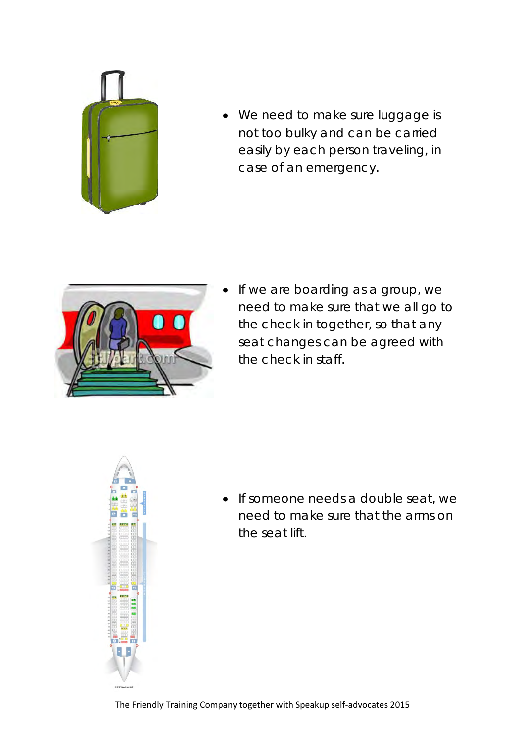

• We need to make sure luggage is not too bulky and can be carried easily by each person traveling, in case of an emergency.



If we are boarding as a group, we need to make sure that we all go to the check in together, so that any seat changes can be agreed with the check in staff.



• If someone needs a double seat, we need to make sure that the arms on the seat lift.